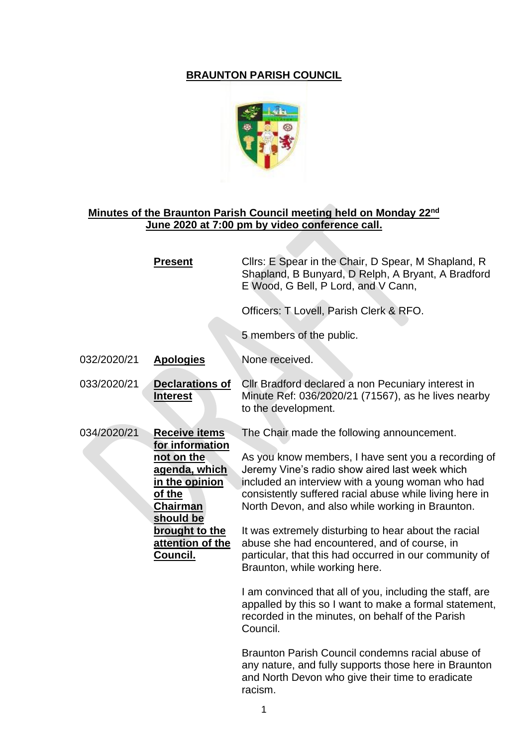## **BRAUNTON PARISH COUNCIL**



## **Minutes of the Braunton Parish Council meeting held on Monday 22nd June 2020 at 7:00 pm by video conference call.**

|             | <b>Present</b>                                                                                                                                                                       | Clirs: E Spear in the Chair, D Spear, M Shapland, R<br>Shapland, B Bunyard, D Relph, A Bryant, A Bradford<br>E Wood, G Bell, P Lord, and V Cann,                                                                                                                                                                                                                                                                                                                                                                                                                                                                                                                                                                                                                                                                                                                                            |
|-------------|--------------------------------------------------------------------------------------------------------------------------------------------------------------------------------------|---------------------------------------------------------------------------------------------------------------------------------------------------------------------------------------------------------------------------------------------------------------------------------------------------------------------------------------------------------------------------------------------------------------------------------------------------------------------------------------------------------------------------------------------------------------------------------------------------------------------------------------------------------------------------------------------------------------------------------------------------------------------------------------------------------------------------------------------------------------------------------------------|
|             |                                                                                                                                                                                      | Officers: T Lovell, Parish Clerk & RFO.                                                                                                                                                                                                                                                                                                                                                                                                                                                                                                                                                                                                                                                                                                                                                                                                                                                     |
|             |                                                                                                                                                                                      | 5 members of the public.                                                                                                                                                                                                                                                                                                                                                                                                                                                                                                                                                                                                                                                                                                                                                                                                                                                                    |
| 032/2020/21 | <b>Apologies</b>                                                                                                                                                                     | None received.                                                                                                                                                                                                                                                                                                                                                                                                                                                                                                                                                                                                                                                                                                                                                                                                                                                                              |
| 033/2020/21 | <b>Declarations of</b><br><b>Interest</b>                                                                                                                                            | Cllr Bradford declared a non Pecuniary interest in<br>Minute Ref: 036/2020/21 (71567), as he lives nearby<br>to the development.                                                                                                                                                                                                                                                                                                                                                                                                                                                                                                                                                                                                                                                                                                                                                            |
| 034/2020/21 | <b>Receive items</b><br>for information<br>not on the<br>agenda, which<br>in the opinion<br>of the<br><b>Chairman</b><br>should be<br>brought to the<br>attention of the<br>Council. | The Chair made the following announcement.<br>As you know members, I have sent you a recording of<br>Jeremy Vine's radio show aired last week which<br>included an interview with a young woman who had<br>consistently suffered racial abuse while living here in<br>North Devon, and also while working in Braunton.<br>It was extremely disturbing to hear about the racial<br>abuse she had encountered, and of course, in<br>particular, that this had occurred in our community of<br>Braunton, while working here.<br>I am convinced that all of you, including the staff, are<br>appalled by this so I want to make a formal statement,<br>recorded in the minutes, on behalf of the Parish<br>Council.<br>Braunton Parish Council condemns racial abuse of<br>any nature, and fully supports those here in Braunton<br>and North Devon who give their time to eradicate<br>racism. |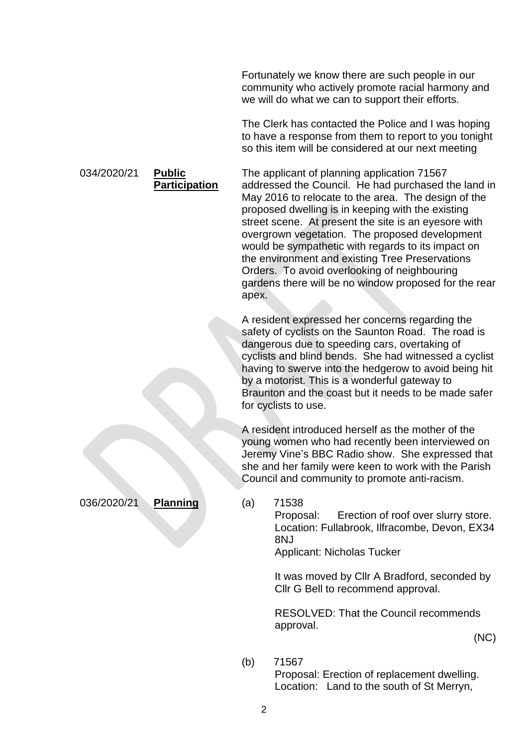Fortunately we know there are such people in our community who actively promote racial harmony and we will do what we can to support their efforts.

The Clerk has contacted the Police and I was hoping to have a response from them to report to you tonight so this item will be considered at our next meeting

The applicant of planning application 71567 addressed the Council. He had purchased the land in May 2016 to relocate to the area. The design of the proposed dwelling is in keeping with the existing street scene. At present the site is an eyesore with overgrown vegetation. The proposed development would be sympathetic with regards to its impact on the environment and existing Tree Preservations Orders. To avoid overlooking of neighbouring gardens there will be no window proposed for the rear apex.

A resident expressed her concerns regarding the safety of cyclists on the Saunton Road. The road is dangerous due to speeding cars, overtaking of cyclists and blind bends. She had witnessed a cyclist having to swerve into the hedgerow to avoid being hit by a motorist. This is a wonderful gateway to Braunton and the coast but it needs to be made safer for cyclists to use.

A resident introduced herself as the mother of the young women who had recently been interviewed on Jeremy Vine's BBC Radio show. She expressed that she and her family were keen to work with the Parish Council and community to promote anti-racism.

036/2020/21 **Planning** (a) 71538

034/2020/21 **Public** 

**Participation**

Proposal: Erection of roof over slurry store. Location: Fullabrook, Ilfracombe, Devon, EX34 8NJ

Applicant: Nicholas Tucker

It was moved by Cllr A Bradford, seconded by Cllr G Bell to recommend approval.

RESOLVED: That the Council recommends approval.

(NC)

(b) 71567

Proposal: Erection of replacement dwelling. Location: Land to the south of St Merryn,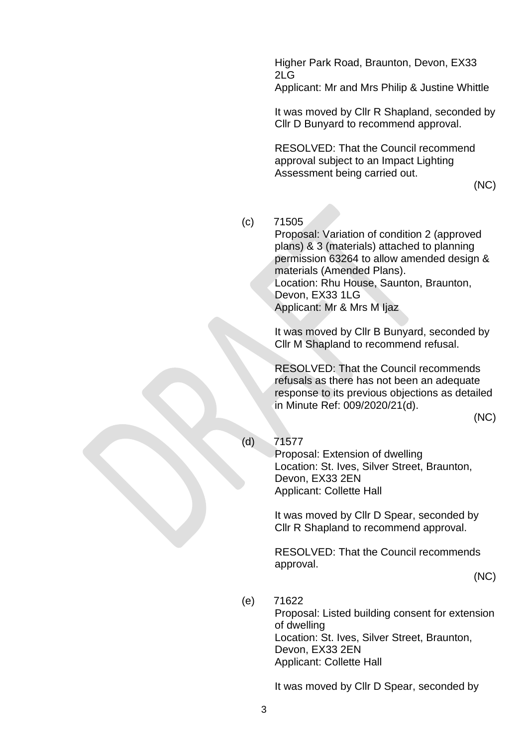Higher Park Road, Braunton, Devon, EX33 2LG

Applicant: Mr and Mrs Philip & Justine Whittle

It was moved by Cllr R Shapland, seconded by Cllr D Bunyard to recommend approval.

RESOLVED: That the Council recommend approval subject to an Impact Lighting Assessment being carried out.

(NC)

(c) 71505

Proposal: Variation of condition 2 (approved plans) & 3 (materials) attached to planning permission 63264 to allow amended design & materials (Amended Plans). Location: Rhu House, Saunton, Braunton, Devon, EX33 1LG Applicant: Mr & Mrs M Ijaz

It was moved by Cllr B Bunyard, seconded by Cllr M Shapland to recommend refusal.

RESOLVED: That the Council recommends refusals as there has not been an adequate response to its previous objections as detailed in Minute Ref: 009/2020/21(d).

(NC)

(d) 71577

Proposal: Extension of dwelling Location: St. Ives, Silver Street, Braunton, Devon, EX33 2EN Applicant: Collette Hall

It was moved by Cllr D Spear, seconded by Cllr R Shapland to recommend approval.

RESOLVED: That the Council recommends approval.

(NC)

(e) 71622 Proposal: Listed building consent for extension of dwelling Location: St. Ives, Silver Street, Braunton, Devon, EX33 2EN Applicant: Collette Hall

It was moved by Cllr D Spear, seconded by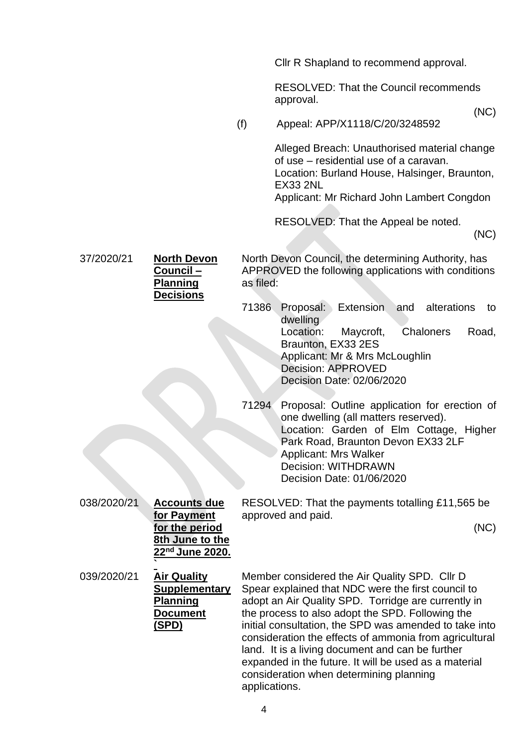Cllr R Shapland to recommend approval.

RESOLVED: That the Council recommends approval.

(NC)

(f) Appeal: APP/X1118/C/20/3248592

Alleged Breach: Unauthorised material change of use – residential use of a caravan. Location: Burland House, Halsinger, Braunton, EX33 2NL

Applicant: Mr Richard John Lambert Congdon

RESOLVED: That the Appeal be noted.

(NC)

37/2020/21 **North Devon Council – Planning Decisions** North Devon Council, the determining Authority, has APPROVED the following applications with conditions as filed:

- 71386 Proposal: Extension and alterations to dwelling Location: Maycroft, Chaloners Road, Braunton, EX33 2ES Applicant: Mr & Mrs McLoughlin Decision: APPROVED Decision Date: 02/06/2020
- 71294 Proposal: Outline application for erection of one dwelling (all matters reserved). Location: Garden of Elm Cottage, Higher Park Road, Braunton Devon EX33 2LF Applicant: Mrs Walker Decision: WITHDRAWN Decision Date: 01/06/2020

| 038/2020/21 | <b>Accounts due</b> | RESOLVED: That the payments totalling £11,565 be |
|-------------|---------------------|--------------------------------------------------|
|             | for Payment         | approved and paid.                               |
|             | for the period      | (NC)                                             |

(NC)

**`** 039/2020/21 **Air Quality Supplementary Planning Document (SPD)**

**8th June to the 22nd June 2020.**

> Member considered the Air Quality SPD. Cllr D Spear explained that NDC were the first council to adopt an Air Quality SPD. Torridge are currently in the process to also adopt the SPD. Following the initial consultation, the SPD was amended to take into consideration the effects of ammonia from agricultural land. It is a living document and can be further expanded in the future. It will be used as a material consideration when determining planning applications.